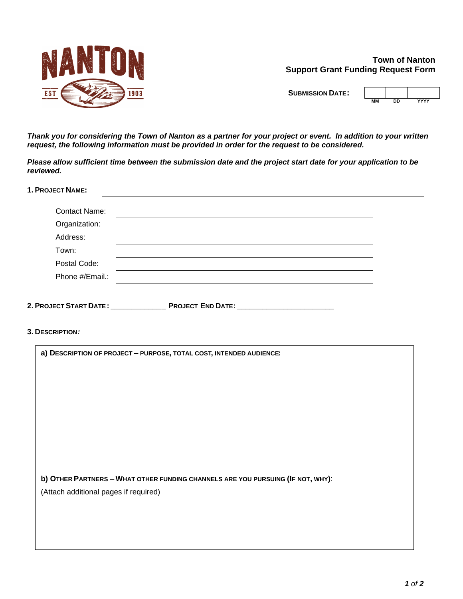

**Town of Nanton Support Grant Funding Request Form**

**SUBMISSION DATE:**

| חח | YYYY |
|----|------|

*Thank you for considering the Town of Nanton as a partner for your project or event. In addition to your written request, the following information must be provided in order for the request to be considered.*

*Please allow sufficient time between the submission date and the project start date for your application to be reviewed.*

**1. PROJECT NAME:**

| <b>Contact Name:</b> |  |
|----------------------|--|
| Organization:        |  |
| Address:             |  |
| Town:                |  |
| Postal Code:         |  |
| Phone #/Email.:      |  |
|                      |  |

**2. PROJECT START DATE :\_\_\_\_\_\_\_\_\_\_\_\_\_ PROJECT END DATE:\_\_\_\_\_\_\_\_\_\_\_\_\_\_\_\_\_\_\_\_\_\_\_**

**3. DESCRIPTION***:*

| a) DESCRIPTION OF PROJECT - PURPOSE, TOTAL COST, INTENDED AUDIENCE:             |  |  |
|---------------------------------------------------------------------------------|--|--|
|                                                                                 |  |  |
|                                                                                 |  |  |
|                                                                                 |  |  |
|                                                                                 |  |  |
|                                                                                 |  |  |
|                                                                                 |  |  |
|                                                                                 |  |  |
|                                                                                 |  |  |
| b) OTHER PARTNERS - WHAT OTHER FUNDING CHANNELS ARE YOU PURSUING (IF NOT, WHY): |  |  |
| (Attach additional pages if required)                                           |  |  |
|                                                                                 |  |  |
|                                                                                 |  |  |